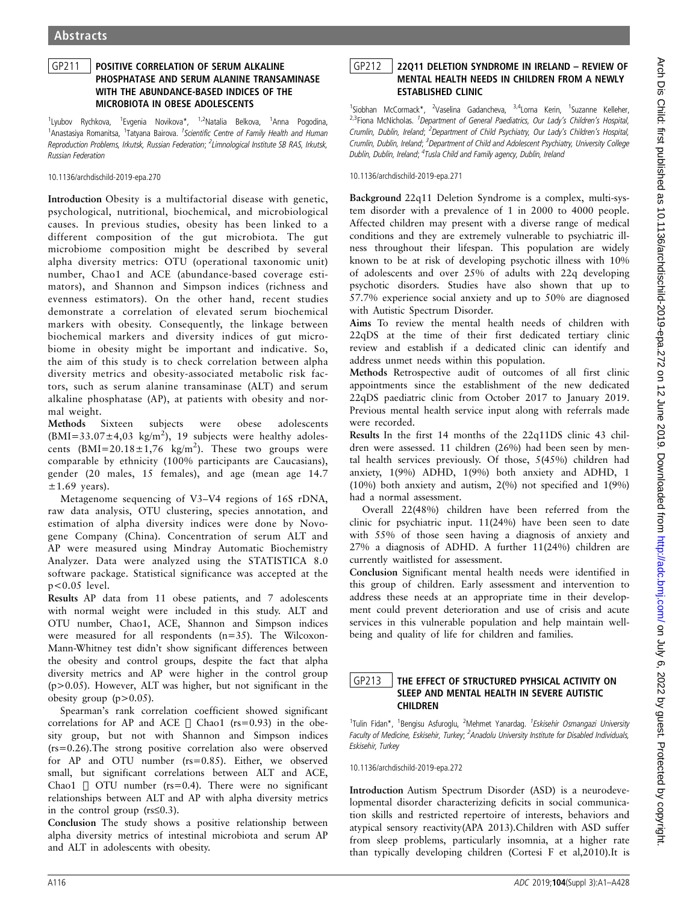## GP211 POSITIVE CORRELATION OF SERUM ALKALINE PHOSPHATASE AND SERUM ALANINE TRANSAMINASE WITH THE ABUNDANCE-BASED INDICES OF THE MICROBIOTA IN OBESE ADOLESCENTS

<sup>1</sup>Lyubov Rychkova, <sup>1</sup>Evgenia Novikova\*, <sup>1,2</sup>Natalia Belkova, <sup>1</sup>Anna Pogodina, <sup>1</sup> Anastasiya Romanitsa, <sup>1</sup>Tatyana Bairova. <sup>1</sup> Scientific Centre of Family Health and Human Reproduction Problems, Irkutsk, Russian Federation; <sup>2</sup>Limnological Institute SB RAS, Irkutsk, Russian Federation

10.1136/archdischild-2019-epa.270

Introduction Obesity is a multifactorial disease with genetic, psychological, nutritional, biochemical, and microbiological causes. In previous studies, obesity has been linked to a different composition of the gut microbiota. The gut microbiome composition might be described by several alpha diversity metrics: OTU (operational taxonomic unit) number, Chao1 and ACE (abundance-based coverage estimators), and Shannon and Simpson indices (richness and evenness estimators). On the other hand, recent studies demonstrate a correlation of elevated serum biochemical markers with obesity. Consequently, the linkage between biochemical markers and diversity indices of gut microbiome in obesity might be important and indicative. So, the aim of this study is to check correlation between alpha diversity metrics and obesity-associated metabolic risk factors, such as serum alanine transaminase (ALT) and serum alkaline phosphatase (AP), at patients with obesity and normal weight.

Methods Sixteen subjects were obese adolescents  $(BMI=33.07\pm4.03 \text{ kg/m}^2)$ , 19 subjects were healthy adolescents  $(BMI = 20.18 \pm 1.76 \text{ kg/m}^2)$ . These two groups were comparable by ethnicity (100% participants are Caucasians), gender (20 males, 15 females), and age (mean age 14.7  $\pm 1.69$  years).

Metagenome sequencing of V3–V4 regions of 16S rDNA, raw data analysis, OTU clustering, species annotation, and estimation of alpha diversity indices were done by Novogene Company (China). Concentration of serum ALT and AP were measured using Mindray Automatic Biochemistry Analyzer. Data were analyzed using the STATISTICA 8.0 software package. Statistical significance was accepted at the p<0.05 level.

Results AP data from 11 obese patients, and 7 adolescents with normal weight were included in this study. ALT and OTU number, Chao1, ACE, Shannon and Simpson indices were measured for all respondents (n=35). The Wilcoxon-Mann-Whitney test didn't show significant differences between the obesity and control groups, despite the fact that alpha diversity metrics and AP were higher in the control group (p>0.05). However, ALT was higher, but not significant in the obesity group  $(p>0.05)$ .

Spearman's rank correlation coefficient showed significant correlations for AP and ACE  $\Box$  Chao1 (rs=0.93) in the obesity group, but not with Shannon and Simpson indices (rs=0.26).The strong positive correlation also were observed for AP and OTU number (rs=0.85). Either, we observed small, but significant correlations between ALT and ACE, Chao1  $\Box$  OTU number (rs=0.4). There were no significant relationships between ALT and AP with alpha diversity metrics in the control group ( $rs \leq 0.3$ ).

Conclusion The study shows a positive relationship between alpha diversity metrics of intestinal microbiota and serum AP and ALT in adolescents with obesity.

# GP212 22Q11 DELETION SYNDROME IN IRELAND – REVIEW OF MENTAL HEALTH NEEDS IN CHILDREN FROM A NEWLY ESTABLISHED CLINIC

<sup>1</sup>Siobhan McCormack\*, <sup>2</sup>Vaselina Gadancheva, <sup>3,4</sup>Lorna Kerin, <sup>1</sup>Suzanne Kelleher, <sup>2,3</sup>Fiona McNicholas. <sup>1</sup>Department of General Paediatrics, Our Lady's Children's Hospital, Crumlin, Dublin, Ireland; <sup>2</sup>Department of Child Psychiatry, Our Lady's Children's Hospital, Crumlin, Dublin, Ireland; <sup>3</sup>Department of Child and Adolescent Psychiatry, University College Dublin, Dublin, Ireland; <sup>4</sup>Tusla Child and Family agency, Dublin, Ireland

10.1136/archdischild-2019-epa.271

Background 22q11 Deletion Syndrome is a complex, multi-system disorder with a prevalence of 1 in 2000 to 4000 people. Affected children may present with a diverse range of medical conditions and they are extremely vulnerable to psychiatric illness throughout their lifespan. This population are widely known to be at risk of developing psychotic illness with 10% of adolescents and over 25% of adults with 22q developing psychotic disorders. Studies have also shown that up to 57.7% experience social anxiety and up to 50% are diagnosed with Autistic Spectrum Disorder.

Aims To review the mental health needs of children with 22qDS at the time of their first dedicated tertiary clinic review and establish if a dedicated clinic can identify and address unmet needs within this population.

Methods Retrospective audit of outcomes of all first clinic appointments since the establishment of the new dedicated 22qDS paediatric clinic from October 2017 to January 2019. Previous mental health service input along with referrals made were recorded.

Results In the first 14 months of the 22q11DS clinic 43 children were assessed. 11 children (26%) had been seen by mental health services previously. Of those, 5(45%) children had anxiety, 1(9%) ADHD, 1(9%) both anxiety and ADHD, 1 (10%) both anxiety and autism, 2(%) not specified and 1(9%) had a normal assessment.

Overall 22(48%) children have been referred from the clinic for psychiatric input. 11(24%) have been seen to date with 55% of those seen having a diagnosis of anxiety and 27% a diagnosis of ADHD. A further 11(24%) children are currently waitlisted for assessment.

Conclusion Significant mental health needs were identified in this group of children. Early assessment and intervention to address these needs at an appropriate time in their development could prevent deterioration and use of crisis and acute services in this vulnerable population and help maintain wellbeing and quality of life for children and families.

#### GP213 THE EFFECT OF STRUCTURED PYHSICAL ACTIVITY ON SLEEP AND MENTAL HEALTH IN SEVERE AUTISTIC CHILDREN

<sup>1</sup>Tulin Fidan\*, <sup>1</sup>Bengisu Asfuroglu, <sup>2</sup>Mehmet Yanardag. <sup>1</sup>Eskisehir Osmangazi University Faculty of Medicine, Eskisehir, Turkey; <sup>2</sup>Anadolu University Institute for Disabled Individuals, Eskisehir, Turkey

10.1136/archdischild-2019-epa.272

Introduction Autism Spectrum Disorder (ASD) is a neurodevelopmental disorder characterizing deficits in social communication skills and restricted repertoire of interests, behaviors and atypical sensory reactivity(APA 2013).Children with ASD suffer from sleep problems, particularly insomnia, at a higher rate than typically developing children (Cortesi F et al,2010).It is